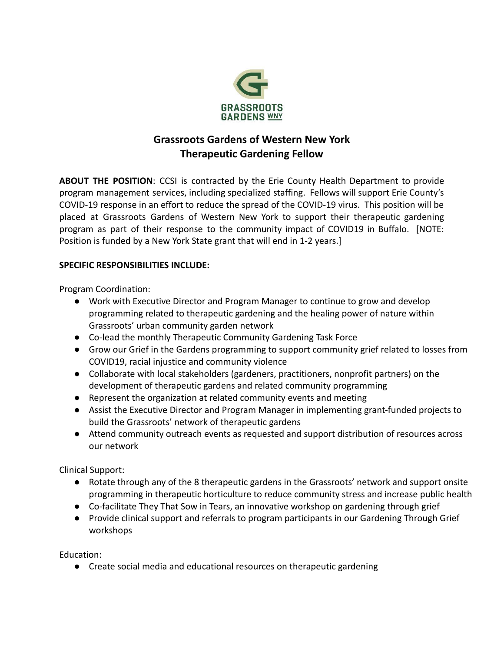

# **Grassroots Gardens of Western New York Therapeutic Gardening Fellow**

**ABOUT THE POSITION**: CCSI is contracted by the Erie County Health Department to provide program management services, including specialized staffing. Fellows will support Erie County's COVID-19 response in an effort to reduce the spread of the COVID-19 virus. This position will be placed at Grassroots Gardens of Western New York to support their therapeutic gardening program as part of their response to the community impact of COVID19 in Buffalo. [NOTE: Position is funded by a New York State grant that will end in 1-2 years.]

## **SPECIFIC RESPONSIBILITIES INCLUDE:**

Program Coordination:

- Work with Executive Director and Program Manager to continue to grow and develop programming related to therapeutic gardening and the healing power of nature within Grassroots' urban community garden network
- Co-lead the monthly Therapeutic Community Gardening Task Force
- Grow our Grief in the Gardens programming to support community grief related to losses from COVID19, racial injustice and community violence
- Collaborate with local stakeholders (gardeners, practitioners, nonprofit partners) on the development of therapeutic gardens and related community programming
- Represent the organization at related community events and meeting
- Assist the Executive Director and Program Manager in implementing grant-funded projects to build the Grassroots' network of therapeutic gardens
- Attend community outreach events as requested and support distribution of resources across our network

Clinical Support:

- Rotate through any of the 8 therapeutic gardens in the Grassroots' network and support onsite programming in therapeutic horticulture to reduce community stress and increase public health
- Co-facilitate They That Sow in Tears, an innovative workshop on gardening through grief
- Provide clinical support and referrals to program participants in our Gardening Through Grief workshops

Education:

● Create social media and educational resources on therapeutic gardening